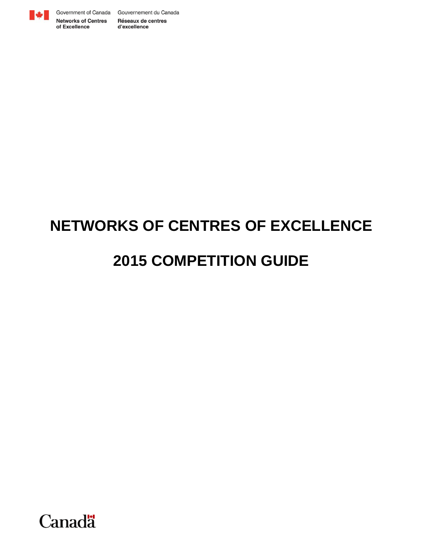

of Excellence

Government of Canada Gouvernement du Canada **Networks of Centres** Réseaux de centres d'excellence

# **NETWORKS OF CENTRES OF EXCELLENCE**

# **2015 COMPETITION GUIDE**

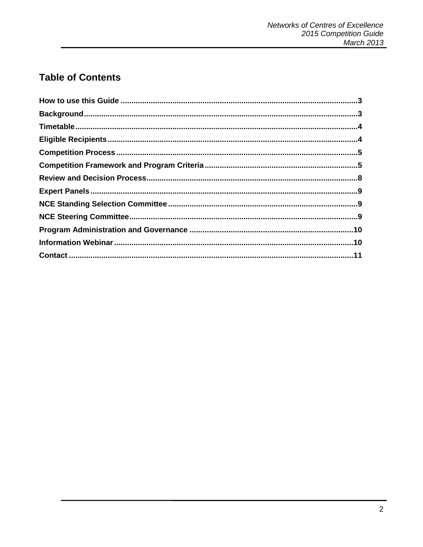# **Table of Contents**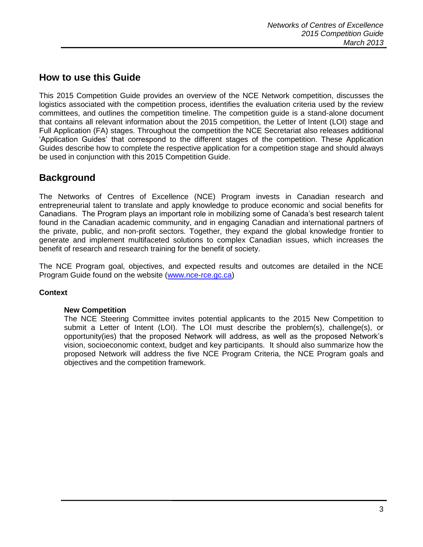## <span id="page-2-0"></span>**How to use this Guide**

This 2015 Competition Guide provides an overview of the NCE Network competition, discusses the logistics associated with the competition process, identifies the evaluation criteria used by the review committees, and outlines the competition timeline. The competition guide is a stand-alone document that contains all relevant information about the 2015 competition, the Letter of Intent (LOI) stage and Full Application (FA) stages. Throughout the competition the NCE Secretariat also releases additional 'Application Guides' that correspond to the different stages of the competition. These Application Guides describe how to complete the respective application for a competition stage and should always be used in conjunction with this 2015 Competition Guide.

## <span id="page-2-1"></span>**Background**

The Networks of Centres of Excellence (NCE) Program invests in Canadian research and entrepreneurial talent to translate and apply knowledge to produce economic and social benefits for Canadians. The Program plays an important role in mobilizing some of Canada's best research talent found in the Canadian academic community, and in engaging Canadian and international partners of the private, public, and non-profit sectors. Together, they expand the global knowledge frontier to generate and implement multifaceted solutions to complex Canadian issues, which increases the benefit of research and research training for the benefit of society.

The NCE Program goal, objectives, and expected results and outcomes are detailed in the NCE Program Guide found on the website [\(www.nce-rce.gc.ca\)](http://www.nce-rce.gc.ca/)

## **Context**

## **New Competition**

<span id="page-2-2"></span>The NCE Steering Committee invites potential applicants to the 2015 New Competition to submit a Letter of Intent (LOI). The LOI must describe the problem(s), challenge(s), or opportunity(ies) that the proposed Network will address, as well as the proposed Network's vision, socioeconomic context, budget and key participants. It should also summarize how the proposed Network will address the five NCE Program Criteria, the NCE Program goals and objectives and the competition framework.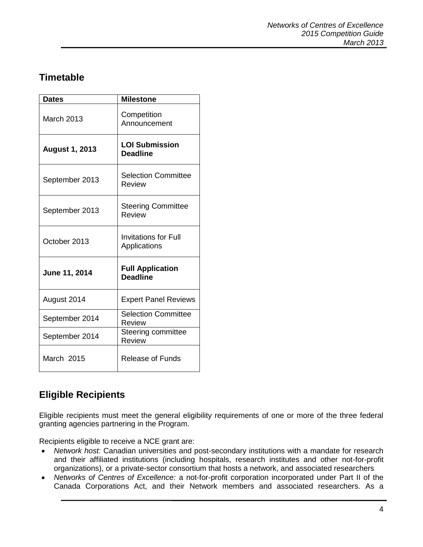# **Timetable**

| <b>Dates</b>          | <b>Milestone</b>                            |
|-----------------------|---------------------------------------------|
| <b>March 2013</b>     | Competition<br>Announcement                 |
| <b>August 1, 2013</b> | <b>LOI Submission</b><br><b>Deadline</b>    |
| September 2013        | <b>Selection Committee</b><br>Review        |
| September 2013        | <b>Steering Committee</b><br>Review         |
| October 2013          | <b>Invitations for Full</b><br>Applications |
| June 11, 2014         | <b>Full Application</b><br><b>Deadline</b>  |
| August 2014           | <b>Expert Panel Reviews</b>                 |
| September 2014        | <b>Selection Committee</b><br>Review        |
| September 2014        | Steering committee<br>Review                |
| March 2015            | <b>Release of Funds</b>                     |

# <span id="page-3-0"></span>**Eligible Recipients**

Eligible recipients must meet the general eligibility requirements of one or more of the three federal granting agencies partnering in the Program.

Recipients eligible to receive a NCE grant are:

- *Network host:* Canadian universities and post-secondary institutions with a mandate for research and their affiliated institutions (including hospitals, research institutes and other not-for-profit organizations), or a private-sector consortium that hosts a network, and associated researchers
- *Networks of Centres of Excellence:* a not-for-profit corporation incorporated under Part II of the Canada Corporations Act, and their Network members and associated researchers. As a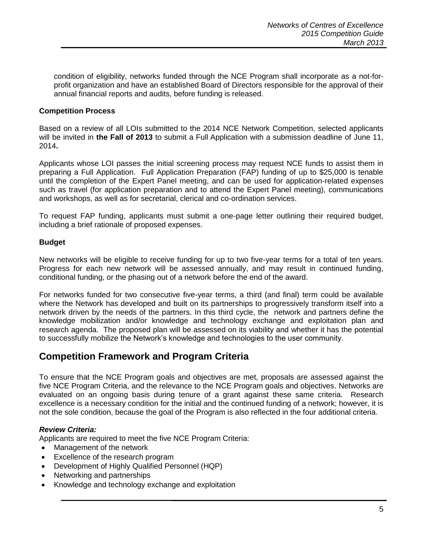condition of eligibility, networks funded through the NCE Program shall incorporate as a not-forprofit organization and have an established Board of Directors responsible for the approval of their annual financial reports and audits, before funding is released.

## <span id="page-4-0"></span>**Competition Process**

Based on a review of all LOIs submitted to the 2014 NCE Network Competition, selected applicants will be invited in **the Fall of 2013** to submit a Full Application with a submission deadline of June 11, 2014**.**

Applicants whose LOI passes the initial screening process may request NCE funds to assist them in preparing a Full Application. Full Application Preparation (FAP) funding of up to \$25,000 is tenable until the completion of the Expert Panel meeting, and can be used for application-related expenses such as travel (for application preparation and to attend the Expert Panel meeting), communications and workshops, as well as for secretarial, clerical and co-ordination services.

To request FAP funding, applicants must submit a one-page letter outlining their required budget, including a brief rationale of proposed expenses.

## **Budget**

New networks will be eligible to receive funding for up to two five-year terms for a total of ten years. Progress for each new network will be assessed annually, and may result in continued funding, conditional funding, or the phasing out of a network before the end of the award.

For networks funded for two consecutive five-year terms, a third (and final) term could be available where the Network has developed and built on its partnerships to progressively transform itself into a network driven by the needs of the partners. In this third cycle, the network and partners define the knowledge mobilization and/or knowledge and technology exchange and exploitation plan and research agenda. The proposed plan will be assessed on its viability and whether it has the potential to successfully mobilize the Network's knowledge and technologies to the user community.

## <span id="page-4-1"></span>**Competition Framework and Program Criteria**

To ensure that the NCE Program goals and objectives are met, proposals are assessed against the five NCE Program Criteria, and the relevance to the NCE Program goals and objectives. Networks are evaluated on an ongoing basis during tenure of a grant against these same criteria. Research excellence is a necessary condition for the initial and the continued funding of a network; however, it is not the sole condition, because the goal of the Program is also reflected in the four additional criteria.

## *Review Criteria:*

Applicants are required to meet the five NCE Program Criteria:

- Management of the network
- Excellence of the research program
- Development of Highly Qualified Personnel (HQP)
- Networking and partnerships
- Knowledge and technology exchange and exploitation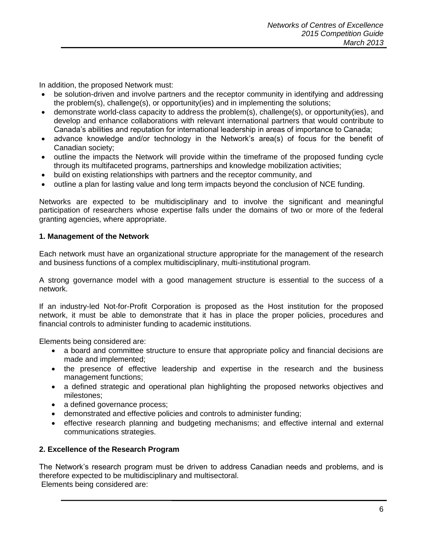In addition, the proposed Network must:

- be solution-driven and involve partners and the receptor community in identifying and addressing the problem(s), challenge(s), or opportunity(ies) and in implementing the solutions;
- demonstrate world-class capacity to address the problem(s), challenge(s), or opportunity(ies), and develop and enhance collaborations with relevant international partners that would contribute to Canada's abilities and reputation for international leadership in areas of importance to Canada;
- advance knowledge and/or technology in the Network's area(s) of focus for the benefit of Canadian society;
- outline the impacts the Network will provide within the timeframe of the proposed funding cycle through its multifaceted programs, partnerships and knowledge mobilization activities;
- build on existing relationships with partners and the receptor community, and
- outline a plan for lasting value and long term impacts beyond the conclusion of NCE funding.

Networks are expected to be multidisciplinary and to involve the significant and meaningful participation of researchers whose expertise falls under the domains of two or more of the federal granting agencies, where appropriate.

## **1. Management of the Network**

Each network must have an organizational structure appropriate for the management of the research and business functions of a complex multidisciplinary, multi-institutional program.

A strong governance model with a good management structure is essential to the success of a network.

If an industry-led Not-for-Profit Corporation is proposed as the Host institution for the proposed network, it must be able to demonstrate that it has in place the proper policies, procedures and financial controls to administer funding to academic institutions.

Elements being considered are:

- a board and committee structure to ensure that appropriate policy and financial decisions are made and implemented;
- the presence of effective leadership and expertise in the research and the business management functions;
- a defined strategic and operational plan highlighting the proposed networks objectives and milestones;
- a defined governance process;
- demonstrated and effective policies and controls to administer funding;
- effective research planning and budgeting mechanisms; and effective internal and external communications strategies.

## **2. Excellence of the Research Program**

The Network's research program must be driven to address Canadian needs and problems, and is therefore expected to be multidisciplinary and multisectoral. Elements being considered are: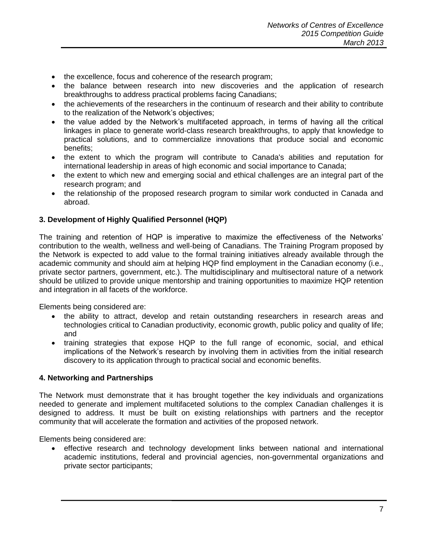- the excellence, focus and coherence of the research program;
- the balance between research into new discoveries and the application of research breakthroughs to address practical problems facing Canadians;
- the achievements of the researchers in the continuum of research and their ability to contribute to the realization of the Network's objectives;
- the value added by the Network's multifaceted approach, in terms of having all the critical linkages in place to generate world-class research breakthroughs, to apply that knowledge to practical solutions, and to commercialize innovations that produce social and economic benefits;
- the extent to which the program will contribute to Canada's abilities and reputation for international leadership in areas of high economic and social importance to Canada;
- the extent to which new and emerging social and ethical challenges are an integral part of the research program; and
- the relationship of the proposed research program to similar work conducted in Canada and abroad.

## **3. Development of Highly Qualified Personnel (HQP)**

The training and retention of HQP is imperative to maximize the effectiveness of the Networks' contribution to the wealth, wellness and well-being of Canadians. The Training Program proposed by the Network is expected to add value to the formal training initiatives already available through the academic community and should aim at helping HQP find employment in the Canadian economy (i.e., private sector partners, government, etc.). The multidisciplinary and multisectoral nature of a network should be utilized to provide unique mentorship and training opportunities to maximize HQP retention and integration in all facets of the workforce.

Elements being considered are:

- the ability to attract, develop and retain outstanding researchers in research areas and technologies critical to Canadian productivity, economic growth, public policy and quality of life; and
- training strategies that expose HQP to the full range of economic, social, and ethical implications of the Network's research by involving them in activities from the initial research discovery to its application through to practical social and economic benefits.

## **4. Networking and Partnerships**

The Network must demonstrate that it has brought together the key individuals and organizations needed to generate and implement multifaceted solutions to the complex Canadian challenges it is designed to address. It must be built on existing relationships with partners and the receptor community that will accelerate the formation and activities of the proposed network.

Elements being considered are:

• effective research and technology development links between national and international academic institutions, federal and provincial agencies, non-governmental organizations and private sector participants;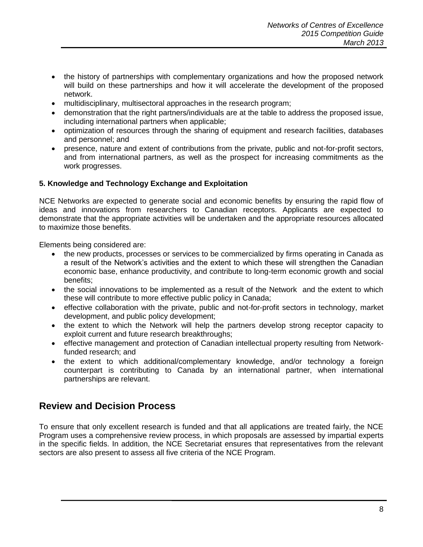- the history of partnerships with complementary organizations and how the proposed network will build on these partnerships and how it will accelerate the development of the proposed network.
- multidisciplinary, multisectoral approaches in the research program;
- demonstration that the right partners/individuals are at the table to address the proposed issue, including international partners when applicable;
- optimization of resources through the sharing of equipment and research facilities, databases and personnel; and
- presence, nature and extent of contributions from the private, public and not-for-profit sectors, and from international partners, as well as the prospect for increasing commitments as the work progresses.

## **5. Knowledge and Technology Exchange and Exploitation**

NCE Networks are expected to generate social and economic benefits by ensuring the rapid flow of ideas and innovations from researchers to Canadian receptors. Applicants are expected to demonstrate that the appropriate activities will be undertaken and the appropriate resources allocated to maximize those benefits.

Elements being considered are:

- the new products, processes or services to be commercialized by firms operating in Canada as a result of the Network's activities and the extent to which these will strengthen the Canadian economic base, enhance productivity, and contribute to long-term economic growth and social benefits;
- the social innovations to be implemented as a result of the Network and the extent to which these will contribute to more effective public policy in Canada;
- effective collaboration with the private, public and not-for-profit sectors in technology, market development, and public policy development;
- the extent to which the Network will help the partners develop strong receptor capacity to exploit current and future research breakthroughs;
- effective management and protection of Canadian intellectual property resulting from Networkfunded research; and
- the extent to which additional/complementary knowledge, and/or technology a foreign counterpart is contributing to Canada by an international partner, when international partnerships are relevant.

## <span id="page-7-0"></span>**Review and Decision Process**

<span id="page-7-1"></span>To ensure that only excellent research is funded and that all applications are treated fairly, the NCE Program uses a comprehensive review process, in which proposals are assessed by impartial experts in the specific fields. In addition, the NCE Secretariat ensures that representatives from the relevant sectors are also present to assess all five criteria of the NCE Program.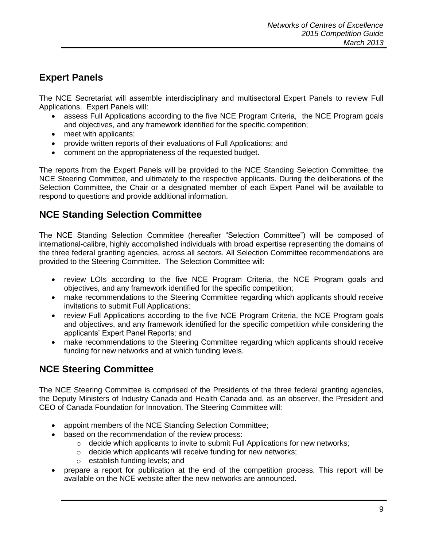# **Expert Panels**

The NCE Secretariat will assemble interdisciplinary and multisectoral Expert Panels to review Full Applications. Expert Panels will:

- assess Full Applications according to the five NCE Program Criteria, the NCE Program goals and objectives, and any framework identified for the specific competition;
- meet with applicants;
- provide written reports of their evaluations of Full Applications; and
- comment on the appropriateness of the requested budget.

The reports from the Expert Panels will be provided to the NCE Standing Selection Committee, the NCE Steering Committee, and ultimately to the respective applicants. During the deliberations of the Selection Committee, the Chair or a designated member of each Expert Panel will be available to respond to questions and provide additional information.

## <span id="page-8-0"></span>**NCE Standing Selection Committee**

The NCE Standing Selection Committee (hereafter "Selection Committee") will be composed of international-calibre, highly accomplished individuals with broad expertise representing the domains of the three federal granting agencies, across all sectors. All Selection Committee recommendations are provided to the Steering Committee. The Selection Committee will:

- review LOIs according to the five NCE Program Criteria, the NCE Program goals and objectives, and any framework identified for the specific competition;
- make recommendations to the Steering Committee regarding which applicants should receive invitations to submit Full Applications;
- review Full Applications according to the five NCE Program Criteria, the NCE Program goals and objectives, and any framework identified for the specific competition while considering the applicants' Expert Panel Reports; and
- make recommendations to the Steering Committee regarding which applicants should receive funding for new networks and at which funding levels.

## <span id="page-8-1"></span>**NCE Steering Committee**

The NCE Steering Committee is comprised of the Presidents of the three federal granting agencies, the Deputy Ministers of Industry Canada and Health Canada and, as an observer, the President and CEO of Canada Foundation for Innovation. The Steering Committee will:

- appoint members of the NCE Standing Selection Committee;
- based on the recommendation of the review process:
	- $\circ$  decide which applicants to invite to submit Full Applications for new networks;
	- o decide which applicants will receive funding for new networks;
	- o establish funding levels; and
- prepare a report for publication at the end of the competition process. This report will be available on the NCE website after the new networks are announced.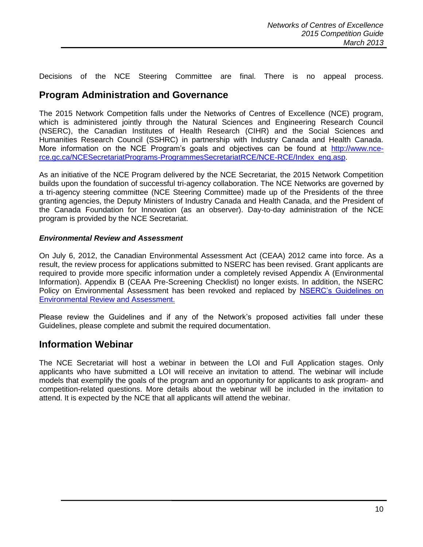Decisions of the NCE Steering Committee are final. There is no appeal process.

## <span id="page-9-0"></span>**Program Administration and Governance**

The 2015 Network Competition falls under the Networks of Centres of Excellence (NCE) program, which is administered jointly through the Natural Sciences and Engineering Research Council (NSERC), the Canadian Institutes of Health Research (CIHR) and the Social Sciences and Humanities Research Council (SSHRC) in partnership with Industry Canada and Health Canada. More information on the NCE Program's goals and objectives can be found at [http://www.nce](http://www.nce-rce.gc.ca/NCESecretariatPrograms-ProgrammesSecretariatRCE/NCE-RCE/Index_eng.asp)[rce.gc.ca/NCESecretariatPrograms-ProgrammesSecretariatRCE/NCE-RCE/Index\\_eng.asp.](http://www.nce-rce.gc.ca/NCESecretariatPrograms-ProgrammesSecretariatRCE/NCE-RCE/Index_eng.asp)

As an initiative of the NCE Program delivered by the NCE Secretariat, the 2015 Network Competition builds upon the foundation of successful tri-agency collaboration. The NCE Networks are governed by a tri-agency steering committee (NCE Steering Committee) made up of the Presidents of the three granting agencies, the Deputy Ministers of Industry Canada and Health Canada, and the President of the Canada Foundation for Innovation (as an observer). Day-to-day administration of the NCE program is provided by the NCE Secretariat.

#### *Environmental Review and Assessment*

On July 6, 2012, the Canadian Environmental Assessment Act (CEAA) 2012 came into force. As a result, the review process for applications submitted to NSERC has been revised. Grant applicants are required to provide more specific information under a completely revised Appendix A (Environmental Information). Appendix B (CEAA Pre-Screening Checklist) no longer exists. In addition, the NSERC Policy on Environmental Assessment has been revoked and replaced by [NSERC's Guidelines on](http://www.nserc-crsng.gc.ca/NSERC-CRSNG/Policies-Politiques/enviroassess-enviroeval_eng.asp)  [Environmental Review and Assessment.](http://www.nserc-crsng.gc.ca/NSERC-CRSNG/Policies-Politiques/enviroassess-enviroeval_eng.asp)

Please review the Guidelines and if any of the Network's proposed activities fall under these Guidelines, please complete and submit the required documentation.

## <span id="page-9-1"></span>**Information Webinar**

<span id="page-9-2"></span>The NCE Secretariat will host a webinar in between the LOI and Full Application stages. Only applicants who have submitted a LOI will receive an invitation to attend. The webinar will include models that exemplify the goals of the program and an opportunity for applicants to ask program- and competition-related questions. More details about the webinar will be included in the invitation to attend. It is expected by the NCE that all applicants will attend the webinar.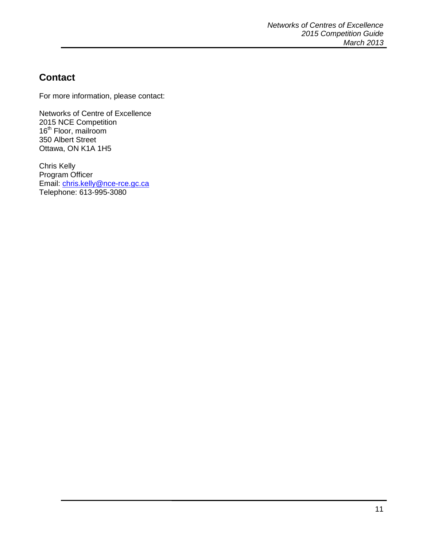# **Contact**

For more information, please contact:

Networks of Centre of Excellence 2015 NCE Competition 16<sup>th</sup> Floor, mailroom 350 Albert Street Ottawa, ON K1A 1H5

Chris Kelly Program Officer Email: [chris.kelly@nce-rce.gc.ca](mailto:chris.kelly@nce-rce.gc.ca) Telephone: 613-995-3080